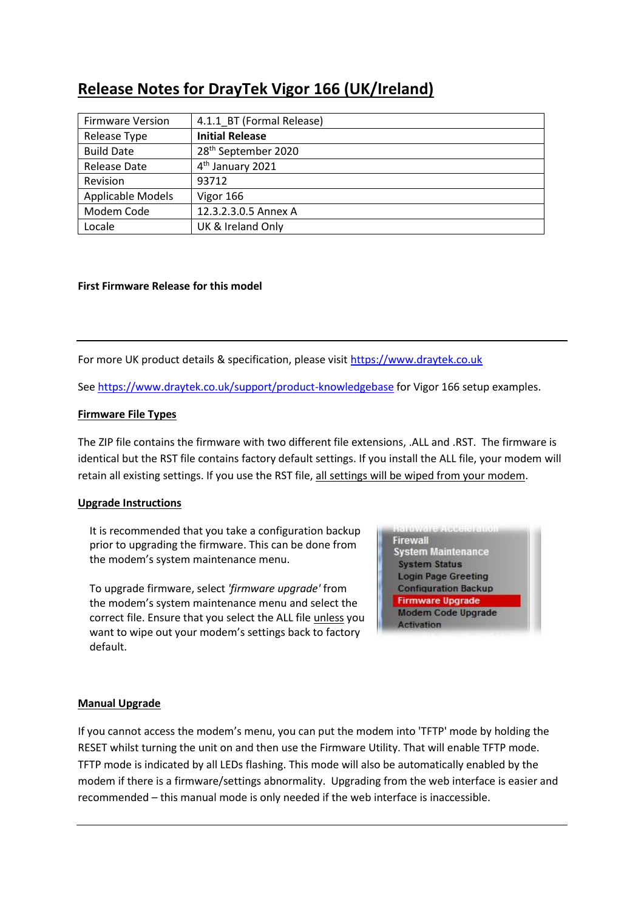# **Release Notes for DrayTek Vigor 166 (UK/Ireland)**

| <b>Firmware Version</b> | 4.1.1 BT (Formal Release)       |
|-------------------------|---------------------------------|
| Release Type            | <b>Initial Release</b>          |
| <b>Build Date</b>       | 28 <sup>th</sup> September 2020 |
| Release Date            | 4 <sup>th</sup> January 2021    |
| Revision                | 93712                           |
| Applicable Models       | Vigor 166                       |
| Modem Code              | 12.3.2.3.0.5 Annex A            |
| Locale                  | UK & Ireland Only               |

# **First Firmware Release for this model**

For more UK product details & specification, please visit [https://www.draytek.co.uk](https://www.draytek.co.uk/)

Se[e https://www.draytek.co.uk/support/product-knowledgebase](https://www.draytek.co.uk/support/product-knowledgebase) for Vigor 166 setup examples.

# **Firmware File Types**

The ZIP file contains the firmware with two different file extensions, .ALL and .RST. The firmware is identical but the RST file contains factory default settings. If you install the ALL file, your modem will retain all existing settings. If you use the RST file, all settings will be wiped from your modem.

### **Upgrade Instructions**

It is recommended that you take a configuration backup prior to upgrading the firmware. This can be done from the modem's system maintenance menu.

To upgrade firmware, select *'firmware upgrade'* from the modem's system maintenance menu and select the correct file. Ensure that you select the ALL file unless you want to wipe out your modem's settings back to factory default.

**Firewall System Maintenance System Status Login Page Greeting Configuration Backup Firmware Upgrade Modem Code Upgrade Activation** 

### **Manual Upgrade**

If you cannot access the modem's menu, you can put the modem into 'TFTP' mode by holding the RESET whilst turning the unit on and then use the Firmware Utility. That will enable TFTP mode. TFTP mode is indicated by all LEDs flashing. This mode will also be automatically enabled by the modem if there is a firmware/settings abnormality. Upgrading from the web interface is easier and recommended – this manual mode is only needed if the web interface is inaccessible.